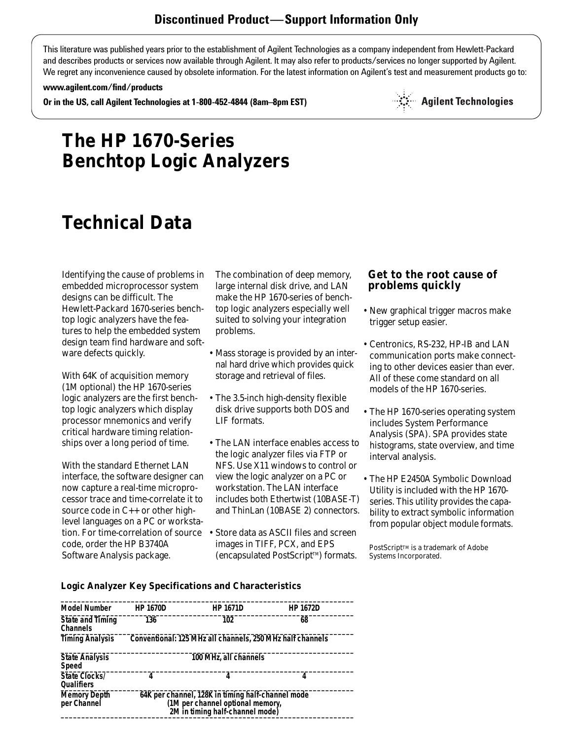This literature was published years prior to the establishment of Agilent Technologies as a company independent from Hewlett-Packard and describes products or services now available through Agilent. It may also refer to products/services no longer supported by Agilent. We regret any inconvenience caused by obsolete information. For the latest information on Agilent's test and measurement products go to:

#### **www.agilent.com/find/products**

**Or in the US, call Agilent Technologies at 1-800-452-4844 (8am–8pm EST)**

 $\mathbb{S}^{\mathbb{S}}$  Agilent Technologies

## **The HP 1670-Series Benchtop Logic Analyzers**

# **Technical Data**

Identifying the cause of problems in embedded microprocessor system designs can be difficult. The Hewlett-Packard 1670-series benchtop logic analyzers have the features to help the embedded system design team find hardware and software defects quickly.

With 64K of acquisition memory (1M optional) the HP 1670-series logic analyzers are the first benchtop logic analyzers which display processor mnemonics and verify critical hardware timing relationships over a long period of time.

With the standard Ethernet LAN interface, the software designer can now capture a real-time microprocessor trace and time-correlate it to source code in C++ or other highlevel languages on a PC or workstation. For time-correlation of source code, order the HP B3740A Software Analysis package.

The combination of deep memory, large internal disk drive, and LAN make the HP 1670-series of benchtop logic analyzers especially well suited to solving your integration problems.

- Mass storage is provided by an internal hard drive which provides quick storage and retrieval of files.
- The 3.5-inch high-density flexible disk drive supports both DOS and LIF formats.
- The LAN interface enables access to the logic analyzer files via FTP or NFS. Use X11 windows to control or view the logic analyzer on a PC or workstation. The LAN interface includes both Ethertwist (10BASE-T) and ThinLan (10BASE 2) connectors.
- Store data as ASCII files and screen images in TIFF, PCX, and EPS (encapsulated PostScript™) formats.

## **Get to the root cause of problems quickly**

- New graphical trigger macros make trigger setup easier.
- Centronics, RS-232, HP-IB and LAN communication ports make connecting to other devices easier than ever. All of these come standard on all models of the HP 1670-series.
- The HP 1670-series operating system includes System Performance Analysis (SPA). SPA provides state histograms, state overview, and time interval analysis.
- The HP E2450A Symbolic Download Utility is included with the HP 1670 series. This utility provides the capability to extract symbolic information from popular object module formats.

PostScript™ is a trademark of Adobe Systems Incorporated.

#### **Logic Analyzer Key Specifications and Characteristics**

| <b>HP 1670D</b>                                                                                                          | <b>HP 1671D</b> | <b>HP 1672D</b>                                                                    |
|--------------------------------------------------------------------------------------------------------------------------|-----------------|------------------------------------------------------------------------------------|
| 136                                                                                                                      | 102             | 68                                                                                 |
|                                                                                                                          |                 |                                                                                    |
|                                                                                                                          |                 |                                                                                    |
| 4                                                                                                                        | 4               | 4                                                                                  |
| 64K per channel, 128K in timing half-channel mode<br>(1M per channel optional memory,<br>2M in timing half-channel mode) |                 |                                                                                    |
|                                                                                                                          |                 | Conventional: 125 MHz all channels, 250 MHz half channels<br>100 MHz, all channels |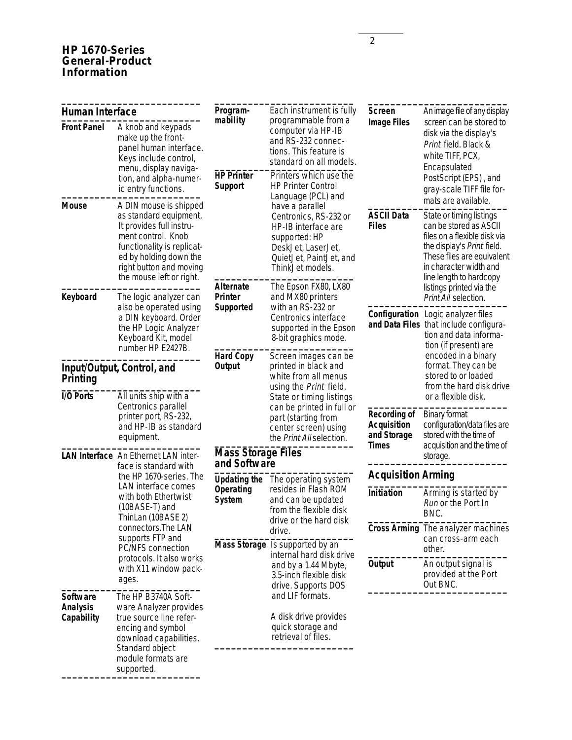## **HP 1670-Series General-Product Information**

|                                                                                                   |                                                                                                                                                                                                                   | Program-                                                                                             | Each instrument is fully                                                                                                                                                                          | <b>Screen</b>                                                                                     | An image file of any display                                                                                                                                                                        |                                                         |
|---------------------------------------------------------------------------------------------------|-------------------------------------------------------------------------------------------------------------------------------------------------------------------------------------------------------------------|------------------------------------------------------------------------------------------------------|---------------------------------------------------------------------------------------------------------------------------------------------------------------------------------------------------|---------------------------------------------------------------------------------------------------|-----------------------------------------------------------------------------------------------------------------------------------------------------------------------------------------------------|---------------------------------------------------------|
| <b>Front Panel</b>                                                                                | <b>Human Interface</b><br>A knob and keypads<br>make up the front-<br>panel human interface.<br>Keys include control,<br>menu, display naviga-<br>tion, and alpha-numer-<br>ic entry functions.                   | mability<br><b>HP Printer</b><br><b>Support</b>                                                      | programmable from a<br>computer via HP-IB<br>and RS-232 connec-<br>tions. This feature is<br>standard on all models.<br>Printers which use the<br><b>HP Printer Control</b><br>Language (PCL) and | <b>Image Files</b>                                                                                | screen can be stored to<br>disk via the display's<br>Print field. Black &<br>white TIFF, PCX,<br>Encapsulated<br>PostScript (EPS), and<br>gray-scale TIFF file for-<br>mats are available.          |                                                         |
| <b>Mouse</b>                                                                                      | A DIN mouse is shipped<br>as standard equipment.<br>It provides full instru-<br>ment control. Knob<br>functionality is replicat-<br>ed by holding down the<br>right button and moving<br>the mouse left or right. |                                                                                                      | have a parallel<br>Centronics, RS-232 or<br>HP-IB interface are<br>supported: HP<br>DeskJet, LaserJet,<br>QuietJet, PaintJet, and<br>ThinkJet models.                                             | <b>ASCII Data</b><br><b>Files</b>                                                                 | State or timing listings<br>can be stored as ASCII<br>files on a flexible disk via<br>the display's Print field.<br>These files are equivalent<br>in character width and<br>line length to hardcopy |                                                         |
| Keyboard                                                                                          | The logic analyzer can<br>also be operated using<br>a DIN keyboard. Order<br>the HP Logic Analyzer<br>Keyboard Kit, model                                                                                         | <b>Alternate</b><br><b>Printer</b><br>Supported                                                      | The Epson FX80, LX80<br>and MX80 printers<br>with an RS-232 or<br>Centronics interface<br>supported in the Epson<br>8-bit graphics mode.                                                          |                                                                                                   | listings printed via the<br>Print All selection.<br>Configuration Logic analyzer files<br>and Data Files that include configura-<br>tion and data informa-                                          |                                                         |
| number HP E2427B.<br>Input/Output, Control, and<br>Printing<br>I/O Ports<br>All units ship with a |                                                                                                                                                                                                                   | <b>Hard Copy</b><br><b>Output</b>                                                                    | Screen images can be<br>printed in black and<br>white from all menus<br>using the Print field.<br>State or timing listings                                                                        |                                                                                                   | tion (if present) are<br>encoded in a binary<br>format. They can be<br>stored to or loaded<br>from the hard disk drive<br>or a flexible disk.                                                       |                                                         |
|                                                                                                   | Centronics parallel<br>printer port, RS-232,<br>and HP-IB as standard<br>equipment.                                                                                                                               | can be printed in full or<br>part (starting from<br>center screen) using<br>the Print All selection. | <b>Recording of</b><br><b>Acquisition</b><br>and Storage                                                                                                                                          | <b>Binary format</b><br>configuration/data files are<br>stored with the time of                   |                                                                                                                                                                                                     |                                                         |
| LAN Interface An Ethernet LAN inter-<br>face is standard with                                     |                                                                                                                                                                                                                   | <b>Mass Storage Files</b><br>and Software                                                            |                                                                                                                                                                                                   | <b>Times</b>                                                                                      | acquisition and the time of<br>storage.                                                                                                                                                             |                                                         |
|                                                                                                   | the HP 1670-series. The<br>LAN interface comes                                                                                                                                                                    | <b>Updating the</b>                                                                                  | The operating system                                                                                                                                                                              | <b>Acquisition Arming</b>                                                                         |                                                                                                                                                                                                     |                                                         |
|                                                                                                   | with both Ethertwist<br>(10BASE-T) and<br>ThinLan (10BASE 2)                                                                                                                                                      | Operating<br><b>System</b>                                                                           | resides in Flash ROM<br>and can be updated<br>from the flexible disk<br>drive or the hard disk                                                                                                    | Initiation                                                                                        | Arming is started by<br>Run or the Port In<br>BNC.                                                                                                                                                  |                                                         |
| connectors. The LAN<br>supports FTP and<br>PC/NFS connection                                      |                                                                                                                                                                                                                   | drive.<br>Mass Storage Is supported by an                                                            |                                                                                                                                                                                                   | Cross Arming The analyzer machines<br>can cross-arm each<br>other.                                |                                                                                                                                                                                                     |                                                         |
|                                                                                                   | protocols. It also works<br>with X11 window pack-<br>ages.                                                                                                                                                        |                                                                                                      |                                                                                                                                                                                                   | internal hard disk drive<br>and by a 1.44 Mbyte,<br>3.5-inch flexible disk<br>drive. Supports DOS | <b>Output</b>                                                                                                                                                                                       | An output signal is<br>provided at the Port<br>Out BNC. |
| <b>Software</b><br><b>Analysis</b><br>Capability                                                  | The HP B3740A Soft-<br>ware Analyzer provides<br>true source line refer-<br>encing and symbol<br>download capabilities.<br>Standard object<br>module formats are                                                  |                                                                                                      | and LIF formats.<br>A disk drive provides<br>quick storage and<br>retrieval of files.                                                                                                             |                                                                                                   |                                                                                                                                                                                                     |                                                         |
|                                                                                                   | supported.                                                                                                                                                                                                        |                                                                                                      |                                                                                                                                                                                                   |                                                                                                   |                                                                                                                                                                                                     |                                                         |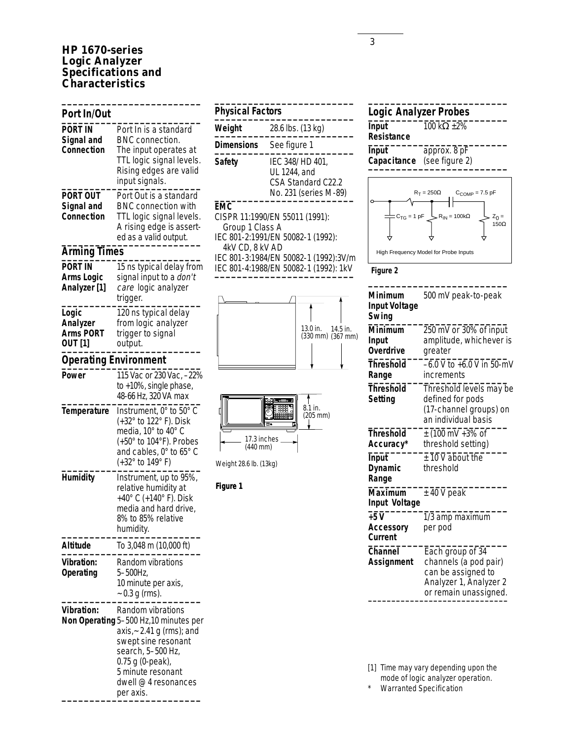## **HP 1670-series Logic Analyzer Specifications and Characteristics**

**\_\_\_\_\_\_\_\_\_\_\_\_\_\_\_\_\_\_\_\_\_\_\_\_\_**

| Port In/Out                                      |                                                                                                                                                                                                                    |
|--------------------------------------------------|--------------------------------------------------------------------------------------------------------------------------------------------------------------------------------------------------------------------|
| PORT IN<br>Signal and<br>Connection              | Port In is a standard<br><b>BNC</b> connection.<br>The input operates at<br>TTL logic signal levels.<br>Rising edges are valid<br>input signals.                                                                   |
| PORT OUT<br>Signal and<br>Connection             | Port Out is a standard<br><b>BNC connection with</b><br>TTL logic signal levels.<br>A rising edge is assert-<br>ed as a valid output.                                                                              |
| <b>Arming Times</b>                              |                                                                                                                                                                                                                    |
| PORT IN<br><b>Arms Logic</b><br>Analyzer [1]     | 15 ns typical delay from<br>signal input to a don't<br>care logic analyzer<br>trigger.                                                                                                                             |
| Logic<br>Analyzer<br><b>Arms PORT</b><br>OUT [1] | 120 ns typical delay<br>from logic analyzer<br>trigger to signal<br>output.                                                                                                                                        |
| <b>Operating Environment</b>                     |                                                                                                                                                                                                                    |
| Power                                            | 115 Vac or 230 Vac, -22%<br>to +10%, single phase,<br>48-66 Hz, 320 VA max                                                                                                                                         |
| <b>Temperature</b>                               | Instrument, 0° to 50° C<br>(+32° to 122° F). Disk<br>media, 10° to 40° C<br>(+50° to 104°F). Probes<br>and cables, 0° to 65° C<br>(+32° to 149° F)                                                                 |
| Humidity                                         | Instrument, up to 95%,<br>relative humidity at<br>+40° C (+140° F). Disk<br>media and hard drive,<br>8% to 85% relative<br>humidity.                                                                               |
| <b>Altitude</b>                                  | To 3,048 m (10,000 ft)                                                                                                                                                                                             |
| <b>Vibration:</b><br>Operating                   | Random vibrations<br>5-500Hz,<br>10 minute per axis,<br>$\sim 0.3$ g (rms).                                                                                                                                        |
| <b>Vibration:</b>                                | Random vibrations<br>Non Operating 5-500 Hz, 10 minutes per<br>axis, ~ 2.41 g (rms); and<br>swept sine resonant<br>search, 5-500 Hz,<br>0.75 g (0-peak),<br>5 minute resonant<br>dwell @ 4 resonances<br>per axis. |

| <b>Physical Factors</b>                   |                                                                                                                                                       |
|-------------------------------------------|-------------------------------------------------------------------------------------------------------------------------------------------------------|
| Weight                                    | 28.6 lbs. (13 kg)                                                                                                                                     |
| <b>Dimensions</b>                         | See figure 1                                                                                                                                          |
| Safety                                    | IEC 348/ HD 401,<br>UL 1244, and<br>CSA Standard C22.2<br>No. 231 (series M-89)                                                                       |
| EMC<br>Group 1 Class A<br>4kV CD, 8 kV AD | CISPR 11:1990/EN 55011 (1991):<br>IEC 801-2:1991/EN 50082-1 (1992):<br>IEC 801-3:1984/EN 50082-1 (1992):3V/m<br>IEC 801-4:1988/EN 50082-1 (1992): 1kV |







#### **Figure 1**

## **\_\_\_\_\_\_\_\_\_\_\_\_\_\_\_\_\_\_\_\_\_\_\_\_\_ Logic Analyzer Probes \_\_\_\_\_\_\_\_\_\_\_\_\_\_\_\_\_\_\_\_\_\_\_\_\_ Input** 100 kΩ ±2% **Resistance \_\_\_\_\_\_\_\_\_\_\_\_\_\_\_\_\_\_\_\_\_\_\_\_\_**

**Input** approx. 8 pF<br>**Capacitance** (see figure 2)  $Capacitance$ 





| Minimum<br><b>Input Voltage</b><br>Swing | 500 mV peak-to-peak                                                                                                |
|------------------------------------------|--------------------------------------------------------------------------------------------------------------------|
| Minimum<br>Input<br><b>Overdrive</b>     | 250 mV or 30% of input<br>amplitude, whichever is<br>greater                                                       |
| Threshold<br>Range                       | -6.0 V to +6.0 V in 50-mV<br>increments                                                                            |
| <b>Threshold</b><br>Setting              | Threshold levels may be<br>defined for pods<br>(17-channel groups) on<br>an individual basis                       |
| <b>Threshold</b><br>Accuracy*            | $\pm$ (100 mV +3% of<br>threshold setting)                                                                         |
| Input<br>Dynamic<br>Range                | $± 10 V$ about the<br>threshold                                                                                    |
| <b>Maximum</b><br>Input Voltage          | $±$ 40 V peak                                                                                                      |
| $+5V$<br><b>Accessory</b><br>Current     | 1/3 amp maximum<br>per pod                                                                                         |
| <b>Channel</b><br><b>Assignment</b>      | Each group of 34<br>channels (a pod pair)<br>can be assigned to<br>Analyzer 1, Analyzer 2<br>or remain unassigned. |

[1] Time may vary depending upon the

mode of logic analyzer operation.

\* Warranted Specification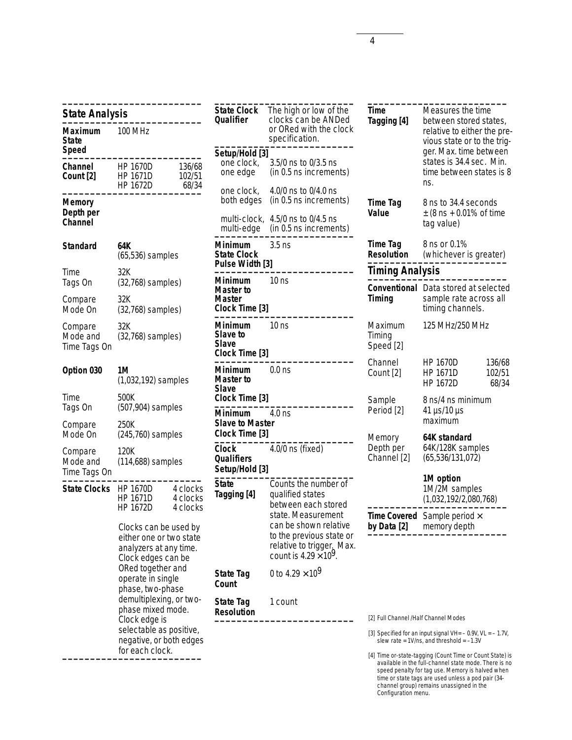| <b>State Analysis</b>                 |                                                                                                                                                                                                                                                                                                          |                                  |
|---------------------------------------|----------------------------------------------------------------------------------------------------------------------------------------------------------------------------------------------------------------------------------------------------------------------------------------------------------|----------------------------------|
| Maximum<br>State<br><b>Speed</b>      | 100 MHz                                                                                                                                                                                                                                                                                                  |                                  |
| Channel<br>Count [2]                  | <b>HP 1670D</b><br><b>HP 1671D</b><br><b>HP 1672D</b>                                                                                                                                                                                                                                                    | 136/68<br>102/51<br>68/34        |
| Memory<br>Depth per<br><b>Channel</b> |                                                                                                                                                                                                                                                                                                          |                                  |
| Standard                              | 64K<br>(65,536) samples                                                                                                                                                                                                                                                                                  |                                  |
| Time<br>Tags On                       | 32K<br>$(32,768)$ samples)                                                                                                                                                                                                                                                                               |                                  |
| Compare<br>Mode On                    | 32K<br>$(32,768)$ samples)                                                                                                                                                                                                                                                                               |                                  |
| Compare<br>Mode and<br>Time Tags On   | 32K<br>$(32,768)$ samples)                                                                                                                                                                                                                                                                               |                                  |
| Option 030                            | 1M<br>(1,032,192) samples                                                                                                                                                                                                                                                                                |                                  |
| Time<br>Tags On                       | 500K<br>(507,904) samples                                                                                                                                                                                                                                                                                |                                  |
| Compare<br>Mode On                    | 250K<br>(245,760) samples                                                                                                                                                                                                                                                                                |                                  |
| Compare<br>Mode and<br>Time Tags On   | 120K<br>$(114,688)$ samples                                                                                                                                                                                                                                                                              |                                  |
| <b>State Clocks</b>                   | <b>HP 1670D</b><br>HP 1671D<br>HP 1672D                                                                                                                                                                                                                                                                  | 4 clocks<br>4 clocks<br>4 clocks |
|                                       | Clocks can be used by<br>either one or two state<br>analyzers at any time.<br>Clock edges can be<br>ORed together and<br>operate in single<br>phase, two-phase<br>demultiplexing, or two-<br>phase mixed mode.<br>Clock edge is<br>selectable as positive,<br>negative, or both edges<br>for each clock. |                                  |

| <b>State Clock</b><br>Qualifier                        | The high or low of the<br>clocks can be ANDed<br>or ORed with the clock<br>specification.                                                                                                                |
|--------------------------------------------------------|----------------------------------------------------------------------------------------------------------------------------------------------------------------------------------------------------------|
| Setup/Hold [3]                                         |                                                                                                                                                                                                          |
| one clock,<br>one edge                                 | 3.5/0 ns to 0/3.5 ns<br>(in 0.5 ns increments)                                                                                                                                                           |
| one clock,<br>both edges                               | 4.0/0 ns to 0/4.0 ns<br>(in 0.5 ns increments)                                                                                                                                                           |
| multi-clock,<br>multi-edge                             | 4.5/0 ns to 0/4.5 ns<br>(in 0.5 ns increments)                                                                                                                                                           |
| Minimum<br><b>State Clock</b><br>Pulse Width [3]       | 3.5 ns                                                                                                                                                                                                   |
|                                                        |                                                                                                                                                                                                          |
| Minimum<br>Master to<br>Master<br>Clock Time [3]       | 10 ns                                                                                                                                                                                                    |
| Minimum<br><b>Slave to</b><br>Slave<br>Clock Time [3]  | 10 ns                                                                                                                                                                                                    |
| Minimum<br>Master to<br><b>Slave</b><br>Clock Time [3] | 0.0 <sub>ns</sub>                                                                                                                                                                                        |
| Minimum<br><b>Slave to Master</b><br>Clock Time [3]    | $4.0$ ns                                                                                                                                                                                                 |
| Clock<br><b>Qualifiers</b><br>Setup/Hold [3]           | 4.0/0 ns (fixed)                                                                                                                                                                                         |
| <b>State</b><br>Tagging [4]                            | Counts the number of<br>qualified states<br>between each stored<br>state. Measurement<br>can be shown relative<br>to the previous state or<br>relative to trigger. Max.<br>count is $4.29 \times 10^9$ . |
| State Tag<br>Count                                     | 0 to 4.29 $\times$ 10 <sup>9</sup>                                                                                                                                                                       |
| State Tag                                              | 1 count                                                                                                                                                                                                  |

| Time<br>Tagging [4]                  | Measures the time<br>between stored states,<br>relative to either the pre-<br>vious state or to the trig-<br>ger. Max. time between<br>states is 34.4 sec. Min.<br>time between states is 8<br>ns. |                           |
|--------------------------------------|----------------------------------------------------------------------------------------------------------------------------------------------------------------------------------------------------|---------------------------|
| Time Tag<br>Value                    | 8 ns to 34.4 seconds<br>$\pm$ (8 ns + 0.01% of time<br>tag value)                                                                                                                                  |                           |
| <b>Time Tag</b><br><b>Resolution</b> | 8 ns or 0.1%<br>(whichever is greater)                                                                                                                                                             |                           |
| <b>Timing Analysis</b>               |                                                                                                                                                                                                    |                           |
| Conventional<br>Timing               | Data stored at selected<br>sample rate across all<br>timing channels.                                                                                                                              |                           |
| Maximum<br>Timing<br>Speed [2]       | 125 MHz/250 MHz                                                                                                                                                                                    |                           |
| Channel<br>Count [2]                 | <b>HP 1670D</b><br><b>HP 1671D</b><br><b>HP 1672D</b>                                                                                                                                              | 136/68<br>102/51<br>68/34 |
| Sample<br>Period [2]                 | 8 ns/4 ns minimum<br>41 µs/10 µs<br>maximum                                                                                                                                                        |                           |
| Memory<br>Depth per<br>Channel [2]   | 64K standard<br>64K/128K samples<br>(65,536/131,072)                                                                                                                                               |                           |
|                                      | 1M option<br>1M/2M samples<br>(1,032,192/2,080,768)                                                                                                                                                |                           |
| Time Covered<br>by Data [2]          | Sample period $\times$<br>memory depth                                                                                                                                                             |                           |

[2] Full Channel /Half Channel Modes

[3] Specified for an input signal VH= – 0.9V, VL = – 1.7V, slew rate = 1V/ns, and threshold = –1.3V

[4] Time or-state-tagging (Count Time or Count State) is available in the full-channel state mode. There is no speed penalty for tag use. Memory is halved when time or state tags are used unless a pod pair (34 channel group) remains unassigned in the Configuration menu.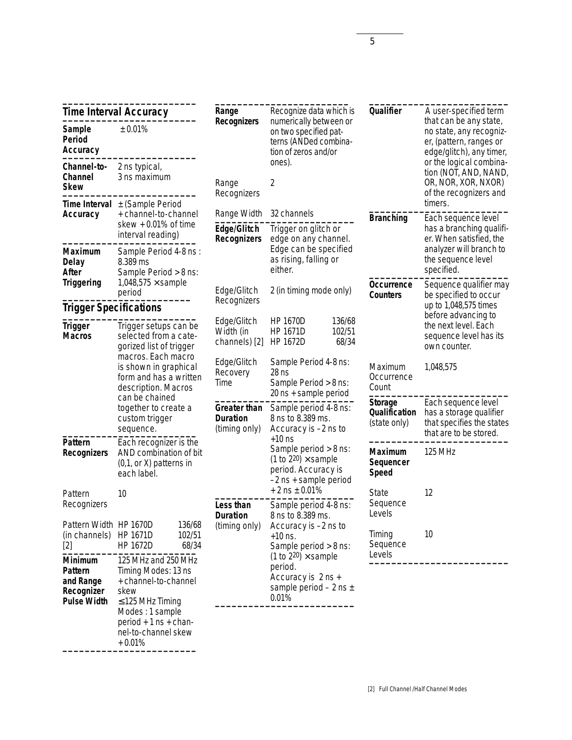| <b>Time Interval Accuracy</b>                                                                |                                                                                                                                                                                       | Recognize data which is<br>Range<br>numerically between or<br><b>Recognizers</b>                                  |                                                                                                           | Qualifier                                                                                                         | A user-specified term<br>that can be any state,                                                       |                |
|----------------------------------------------------------------------------------------------|---------------------------------------------------------------------------------------------------------------------------------------------------------------------------------------|-------------------------------------------------------------------------------------------------------------------|-----------------------------------------------------------------------------------------------------------|-------------------------------------------------------------------------------------------------------------------|-------------------------------------------------------------------------------------------------------|----------------|
| Sample<br>Period<br>Accuracy                                                                 | ± 0.01%                                                                                                                                                                               |                                                                                                                   | on two specified pat-<br>terns (ANDed combina-<br>tion of zeros and/or                                    |                                                                                                                   | no state, any recogniz-<br>er, (pattern, ranges or<br>edge/glitch), any timer,                        |                |
| Channel-to-<br>Channel<br><b>Skew</b>                                                        | 2 ns typical,<br>3 ns maximum                                                                                                                                                         | Range<br>Recognizers                                                                                              | ones).<br>2                                                                                               |                                                                                                                   | or the logical combina-<br>tion (NOT, AND, NAND,<br>OR, NOR, XOR, NXOR)<br>of the recognizers and     |                |
| <b>Time Interval</b><br>Accuracy                                                             | ± (Sample Period<br>+ channel-to-channel                                                                                                                                              | Range Width                                                                                                       | 32 channels                                                                                               |                                                                                                                   | timers.                                                                                               |                |
|                                                                                              | skew $+0.01\%$ of time<br>interval reading)                                                                                                                                           | Edge/Glitch<br><b>Recognizers</b>                                                                                 | Trigger on glitch or<br>edge on any channel.                                                              | <b>Branching</b>                                                                                                  | Each sequence level<br>has a branching qualifi-<br>er. When satisfied, the                            |                |
| <b>Maximum</b><br><b>Delay</b><br>After                                                      | Sample Period 4-8 ns :<br>8.389 ms<br>Sample Period > 8 ns:                                                                                                                           |                                                                                                                   | Edge can be specified<br>as rising, falling or<br>either.                                                 |                                                                                                                   | analyzer will branch to<br>the sequence level<br>specified.                                           |                |
| <b>Triggering</b>                                                                            | $1,048,575 \times$ sample<br>period                                                                                                                                                   | Edge/Glitch                                                                                                       | 2 (in timing mode only)                                                                                   | Occurrence<br><b>Counters</b>                                                                                     | Sequence qualifier may<br>be specified to occur                                                       |                |
| <b>Trigger Specifications</b>                                                                |                                                                                                                                                                                       | Recognizers                                                                                                       |                                                                                                           |                                                                                                                   | up to 1,048,575 times<br>before advancing to                                                          |                |
| Trigger<br><b>Macros</b>                                                                     | Trigger setups can be<br>selected from a cate-<br>gorized list of trigger                                                                                                             | Edge/Glitch<br><b>HP 1670D</b><br>136/68<br>102/51<br>Width (in<br>HP 1671D<br>channels) [2]<br>HP 1672D<br>68/34 |                                                                                                           | the next level. Each<br>sequence level has its<br>own counter.                                                    |                                                                                                       |                |
| macros. Each macro<br>is shown in graphical<br>form and has a written<br>description. Macros | Edge/Glitch<br>Recovery<br>Time                                                                                                                                                       | Sample Period 4-8 ns:<br>$28$ ns<br>Sample Period > 8 ns:<br>20 ns + sample period                                | Maximum<br>Occurrence<br>Count                                                                            | 1,048,575                                                                                                         |                                                                                                       |                |
|                                                                                              | can be chained<br>together to create a<br>custom trigger<br>sequence.                                                                                                                 | <b>Greater than</b><br><b>Duration</b><br>(timing only)                                                           | Sample period 4-8 ns:<br>8 ns to 8.389 ms.<br>Accuracy is -2 ns to                                        | <b>Storage</b><br><b>Qualification</b><br>(state only)                                                            | Each sequence level<br>has a storage qualifier<br>that specifies the states<br>that are to be stored. |                |
| Pattern<br><b>Recognizers</b>                                                                | Each recognizer is the<br>AND combination of bit<br>(0,1, or X) patterns in<br>each label.                                                                                            |                                                                                                                   |                                                                                                           | $+10$ ns<br>Sample period > 8 ns:<br>(1 to 220) $\times$ sample<br>period. Accuracy is<br>$-2$ ns + sample period | <b>Maximum</b><br>Sequencer<br><b>Speed</b>                                                           | <b>125 MHz</b> |
| Pattern<br>Recognizers                                                                       | 10                                                                                                                                                                                    | Less than<br><b>Duration</b>                                                                                      | $+2$ ns $\pm$ 0.01%<br>Sample period 4-8 ns:<br>8 ns to 8.389 ms.                                         | State<br>Sequence<br>Levels                                                                                       | 12                                                                                                    |                |
| Pattern Width HP 1670D<br>(in channels)<br>$[2]$                                             | 136/68<br>HP 1671D<br>102/51<br>HP 1672D<br>68/34                                                                                                                                     | (timing only)                                                                                                     | Accuracy is -2 ns to<br>$+10$ ns.<br>Sample period > 8 ns:                                                | Timing<br>Sequence                                                                                                | 10                                                                                                    |                |
| <b>Minimum</b><br><b>Pattern</b><br>and Range<br>Recognizer<br><b>Pulse Width</b>            | 125 MHz and 250 MHz<br>Timing Modes: 13 ns<br>+ channel-to-channel<br>skew<br>$\leq$ 125 MHz Timing<br>Modes: 1 sample<br>period $+1$ ns $+$ chan-<br>nel-to-channel skew<br>$+0.01%$ |                                                                                                                   | (1 to $2^{20}$ ) $\times$ sample<br>period.<br>Accuracy is 2 ns +<br>sample period $-2$ ns $\pm$<br>0.01% | Levels                                                                                                            |                                                                                                       |                |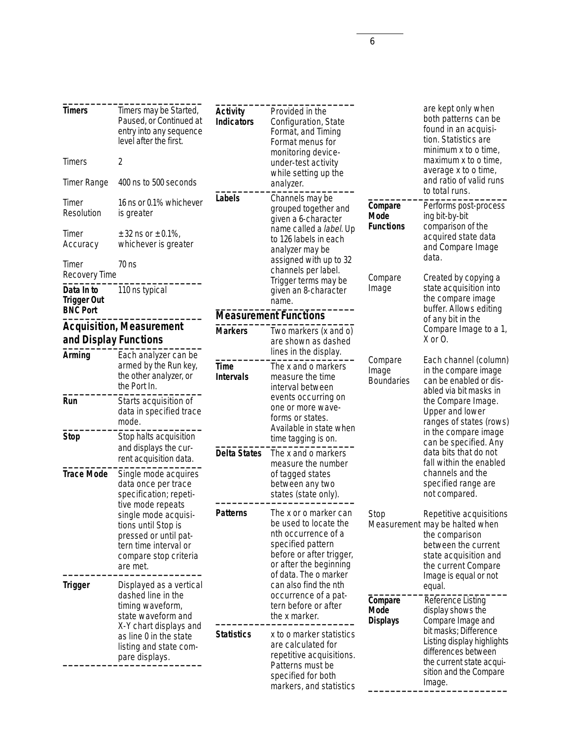| <b>Timers</b><br><b>Timers</b><br><b>Timer Range</b><br>Timer<br>Resolution                               | Timers may be Started,<br>Paused, or Continued at<br>entry into any sequence<br>level after the first.<br>2<br>400 ns to 500 seconds<br>16 ns or 0.1% whichever<br>is greater | <b>Activity</b><br><b>Indicators</b><br>Labels                                          | Provided in the<br>Configuration, State<br>Format, and Timing<br>Format menus for<br>monitoring device-<br>under-test activity<br>while setting up the<br>analyzer.<br>Channels may be<br>grouped together and<br>given a 6-character | Compare<br><b>Mode</b><br><b>Functions</b>                                                     | are kept only when<br>both patterns can be<br>found in an acquisi-<br>tion. Statistics are<br>minimum x to o time,<br>maximum x to o time,<br>average x to o time,<br>and ratio of valid runs<br>to total runs.<br>Performs post-process<br>ing bit-by-bit<br>comparison of the<br>acquired state data<br>and Compare Image<br>data.<br>Created by copying a |
|-----------------------------------------------------------------------------------------------------------|-------------------------------------------------------------------------------------------------------------------------------------------------------------------------------|-----------------------------------------------------------------------------------------|---------------------------------------------------------------------------------------------------------------------------------------------------------------------------------------------------------------------------------------|------------------------------------------------------------------------------------------------|--------------------------------------------------------------------------------------------------------------------------------------------------------------------------------------------------------------------------------------------------------------------------------------------------------------------------------------------------------------|
| Timer<br>Accuracy<br>Timer<br>Recovery Time                                                               | $\pm$ 32 ns or $\pm$ 0.1%,<br>whichever is greater<br>$70$ ns                                                                                                                 |                                                                                         | name called a label. Up<br>to 126 labels in each<br>analyzer may be<br>assigned with up to 32<br>channels per label.<br>Trigger terms may be<br>given an 8-character<br>name.                                                         | Compare                                                                                        |                                                                                                                                                                                                                                                                                                                                                              |
| Data In to<br><b>Trigger Out</b><br><b>BNC Port</b>                                                       | 110 ns typical                                                                                                                                                                |                                                                                         |                                                                                                                                                                                                                                       | Image                                                                                          | state acquisition into<br>the compare image<br>buffer. Allows editing                                                                                                                                                                                                                                                                                        |
|                                                                                                           |                                                                                                                                                                               |                                                                                         | <b>Measurement Functions</b>                                                                                                                                                                                                          |                                                                                                | of any bit in the                                                                                                                                                                                                                                                                                                                                            |
| Arming                                                                                                    | <b>Acquisition, Measurement</b><br>and Display Functions<br>Each analyzer can be                                                                                              | <b>Markers</b>                                                                          | Two markers (x and o)<br>are shown as dashed<br>lines in the display.                                                                                                                                                                 |                                                                                                | Compare Image to a 1,<br>X or O.                                                                                                                                                                                                                                                                                                                             |
|                                                                                                           | armed by the Run key,<br>the other analyzer, or<br>the Port In.                                                                                                               | <b>Time</b><br><b>Intervals</b>                                                         | The x and o markers<br>measure the time<br>interval between                                                                                                                                                                           | Compare<br>Image<br><b>Boundaries</b>                                                          | Each channel (column)<br>in the compare image<br>can be enabled or dis-<br>abled via bit masks in                                                                                                                                                                                                                                                            |
| Run                                                                                                       | Starts acquisition of<br>data in specified trace<br>mode.                                                                                                                     | events occurring on<br>one or more wave-<br>forms or states.<br>Available in state when |                                                                                                                                                                                                                                       | the Compare Image.<br>Upper and lower<br>ranges of states (rows)<br>in the compare image       |                                                                                                                                                                                                                                                                                                                                                              |
| <b>Stop</b>                                                                                               | Stop halts acquisition<br>and displays the cur-<br>rent acquisition data.                                                                                                     | <b>Delta States</b>                                                                     | time tagging is on.<br>The x and o markers<br>measure the number                                                                                                                                                                      |                                                                                                | can be specified. Any<br>data bits that do not<br>fall within the enabled                                                                                                                                                                                                                                                                                    |
| <b>Trace Mode</b>                                                                                         | Single mode acquires<br>data once per trace<br>specification; repeti-                                                                                                         |                                                                                         | of tagged states<br>between any two<br>states (state only).                                                                                                                                                                           |                                                                                                | channels and the<br>specified range are<br>not compared.                                                                                                                                                                                                                                                                                                     |
|                                                                                                           | tive mode repeats<br>single mode acquisi-<br>tions until Stop is<br>pressed or until pat-<br>tern time interval or<br>compare stop criteria<br>are met.                       | <b>Patterns</b>                                                                         | The x or o marker can<br>be used to locate the<br>nth occurrence of a<br>specified pattern<br>before or after trigger,<br>or after the beginning<br>of data. The o marker                                                             | Stop                                                                                           | Repetitive acquisitions<br>Measurement may be halted when<br>the comparison<br>between the current<br>state acquisition and<br>the current Compare                                                                                                                                                                                                           |
| <b>Trigger</b><br>Displayed as a vertical<br>dashed line in the<br>timing waveform,<br>state waveform and |                                                                                                                                                                               | can also find the nth<br>occurrence of a pat-<br>tern before or after<br>the x marker.  | Compare<br>Mode<br><b>Displays</b>                                                                                                                                                                                                    | Image is equal or not<br>equal.<br>Reference Listing<br>display shows the<br>Compare Image and |                                                                                                                                                                                                                                                                                                                                                              |
| X-Y chart displays and<br>as line 0 in the state<br>listing and state com-<br>pare displays.              |                                                                                                                                                                               | <b>Statistics</b>                                                                       | x to o marker statistics<br>are calculated for<br>repetitive acquisitions.<br>Patterns must be<br>specified for both<br>markers, and statistics                                                                                       |                                                                                                | bit masks; Difference<br>Listing display highlights<br>differences between<br>the current state acqui-<br>sition and the Compare<br>Image.                                                                                                                                                                                                                   |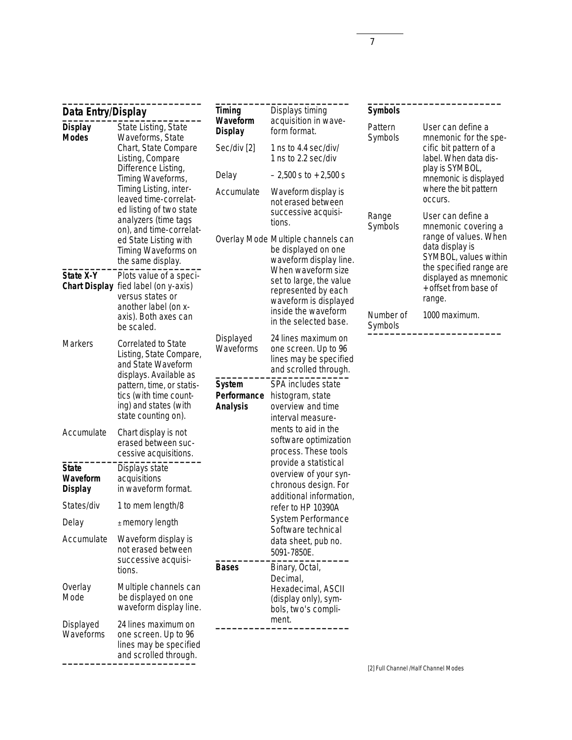| Data Entry/Display                                                                                                     |                                                                                                     | Displays timing<br><b>Timing</b><br>Waveform<br>acquisition in wave- | <b>Symbols</b>                                                                                            |                                                 |                                                                           |
|------------------------------------------------------------------------------------------------------------------------|-----------------------------------------------------------------------------------------------------|----------------------------------------------------------------------|-----------------------------------------------------------------------------------------------------------|-------------------------------------------------|---------------------------------------------------------------------------|
| State Listing, State<br><b>Display</b><br><b>Modes</b><br>Waveforms, State<br>Chart, State Compare<br>Listing, Compare |                                                                                                     | <b>Display</b>                                                       | form format.                                                                                              | Pattern<br>Symbols                              | User can define a<br>mnemonic for the spe-                                |
|                                                                                                                        | Sec/div [2]                                                                                         | 1 ns to 4.4 sec/div/<br>1 ns to 2.2 sec/div                          |                                                                                                           | cific bit pattern of a<br>label. When data dis- |                                                                           |
|                                                                                                                        | Difference Listing,<br>Timing Waveforms,                                                            | Delay                                                                | $-2,500$ s to $+2,500$ s                                                                                  |                                                 | play is SYMBOL,<br>mnemonic is displayed                                  |
|                                                                                                                        | Timing Listing, inter-<br>leaved time-correlat-<br>ed listing of two state                          | Accumulate                                                           | Waveform display is<br>not erased between<br>successive acquisi-                                          |                                                 | where the bit pattern<br>occurs.                                          |
|                                                                                                                        | analyzers (time tags<br>on), and time-correlat-                                                     |                                                                      | tions.                                                                                                    | Range<br>Symbols                                | User can define a<br>mnemonic covering a                                  |
|                                                                                                                        | ed State Listing with<br>Timing Waveforms on<br>the same display.                                   |                                                                      | Overlay Mode Multiple channels can<br>be displayed on one<br>waveform display line.<br>When waveform size | data display is                                 | range of values. When<br>SYMBOL, values within<br>the specified range are |
| State X-Y<br><b>Chart Display</b>                                                                                      | Plots value of a speci-<br>fied label (on y-axis)<br>versus states or<br>another label (on x-       |                                                                      | set to large, the value<br>represented by each<br>waveform is displayed                                   |                                                 | displayed as mnemonic<br>+ offset from base of<br>range.                  |
|                                                                                                                        | axis). Both axes can<br>be scaled.                                                                  |                                                                      | inside the waveform<br>in the selected base.                                                              | Number of<br>Symbols                            | 1000 maximum.                                                             |
| <b>Markers</b>                                                                                                         | Correlated to State<br>Listing, State Compare,<br>and State Waveform<br>displays. Available as      | Displayed<br>Waveforms                                               | 24 lines maximum on<br>one screen. Up to 96<br>lines may be specified<br>and scrolled through.            |                                                 |                                                                           |
|                                                                                                                        | pattern, time, or statis-<br>tics (with time count-<br>ing) and states (with<br>state counting on). | <b>System</b><br>Performance<br><b>Analysis</b>                      | SPA includes state<br>histogram, state<br>overview and time<br>interval measure-                          |                                                 |                                                                           |
| Accumulate                                                                                                             | Chart display is not<br>erased between suc-<br>cessive acquisitions.                                |                                                                      | ments to aid in the<br>software optimization<br>process. These tools                                      |                                                 |                                                                           |
| <b>State</b><br>Waveform<br><b>Display</b>                                                                             | Displays state<br>acquisitions<br>in waveform format.                                               |                                                                      | provide a statistical<br>overview of your syn-<br>chronous design. For<br>additional information,         |                                                 |                                                                           |
| States/div                                                                                                             | 1 to mem length/8                                                                                   |                                                                      | refer to HP 10390A                                                                                        |                                                 |                                                                           |
| Delay                                                                                                                  | $±$ memory length                                                                                   |                                                                      | System Performance<br>Software technical                                                                  |                                                 |                                                                           |
| Accumulate                                                                                                             | Waveform display is<br>not erased between<br>successive acquisi-                                    |                                                                      | data sheet, pub no.<br>5091-7850E.                                                                        |                                                 |                                                                           |
|                                                                                                                        | tions.                                                                                              | <b>Bases</b>                                                         | Binary, Octal,                                                                                            |                                                 |                                                                           |
| Overlay<br>Mode                                                                                                        | Multiple channels can<br>be displayed on one<br>waveform display line.                              |                                                                      | Decimal,<br>Hexadecimal, ASCII<br>(display only), sym-<br>bols, two's compli-                             |                                                 |                                                                           |
| Displayed<br>Waveforms                                                                                                 | 24 lines maximum on<br>one screen. Up to 96<br>lines may be specified<br>and scrolled through.      |                                                                      | ment.                                                                                                     |                                                 |                                                                           |

[2] Full Channel /Half Channel Modes